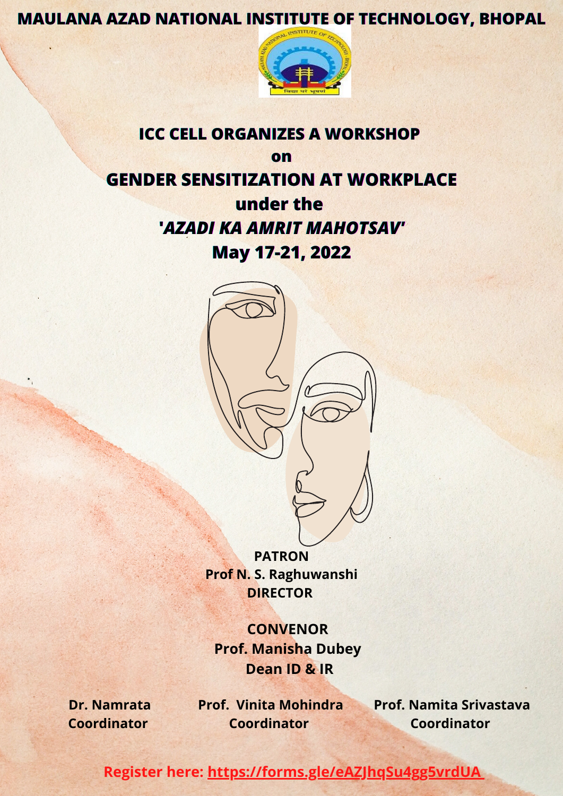# **MAULANA AZAD NATIONAL INSTITUTE OF TECHNOLOGY, BHOPAL**



# **ICC CELL ORGANIZES A WORKSHOP on GENDER SENSITIZATION AT WORKPLACE under the '***AZADI KA AMRIT MAHOTSAV'* **May 17-21, 2022**





**Dr. Namrata Coordinator**

**Prof. Vinita Mohindra Coordinator**

**Prof. Namita Srivastava Coordinator**

**PATRON Prof N. S. Raghuwanshi DIRECTOR**

**CONVENOR Prof. Manisha Dubey Dean ID & IR**

**Register h[ere](https://forms.gle/eAZJhqSu4gg5vrdUA): <https://forms.gle/eAZJhqSu4gg5vrdUA>**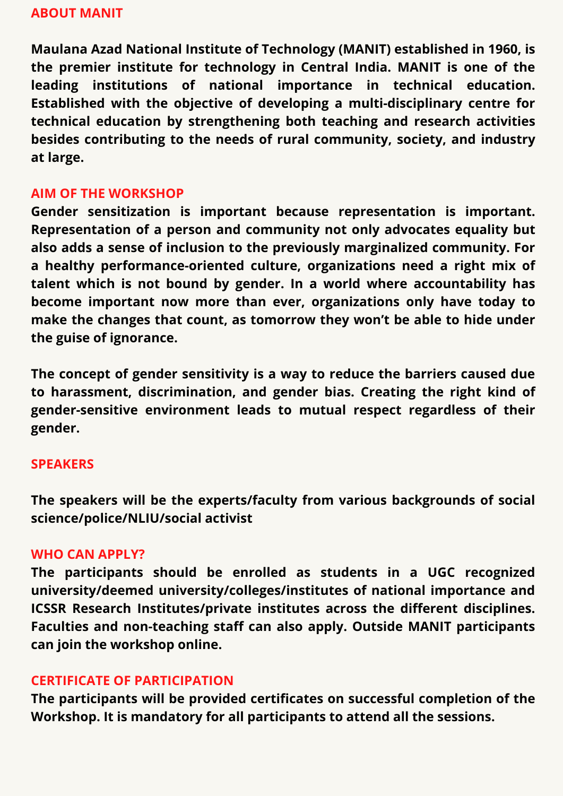**Maulana Azad National Institute of Technology (MANIT) established in 1960, is the premier institute for technology in Central India. MANIT is one of the leading institutions of national importance in technical education. Established with the objective of developing a multi-disciplinary centre for technical education by strengthening both teaching and research activities besides contributing to the needs of rural community, society, and industry at large.**

# **AIM OF THE WORKSHOP**

**Gender sensitization is important because representation is important. Representation of a person and community not only advocates equality but also adds a sense of inclusion to the previously marginalized community. For a healthy performance-oriented culture, organizations need a right mix of talent which is not bound by gender. In a world where accountability has become important now more than ever, organizations only have today to make the changes that count, as tomorrow they won't be able to hide under the guise of ignorance.**

**The concept of gender sensitivity is a way to reduce the barriers caused due to harassment, discrimination, and gender bias. Creating the right kind of gender-sensitive environment leads to mutual respect regardless of their gender.**

# **SPEAKERS**

**The speakers will be the experts/faculty from various backgrounds of social science/police/NLIU/social activist**

# **WHO CAN APPLY?**

**The participants should be enrolled as students in a UGC recognized university/deemed university/colleges/institutes of national importance and ICSSR Research Institutes/private institutes across the different disciplines. Faculties and non-teaching staff can also apply. Outside MANIT participants can join the workshop online.**

## **CERTIFICATE OF PARTICIPATION**

**The participants will be provided certificates on successful completion of the Workshop. It is mandatory for all participants to attend all the sessions.**